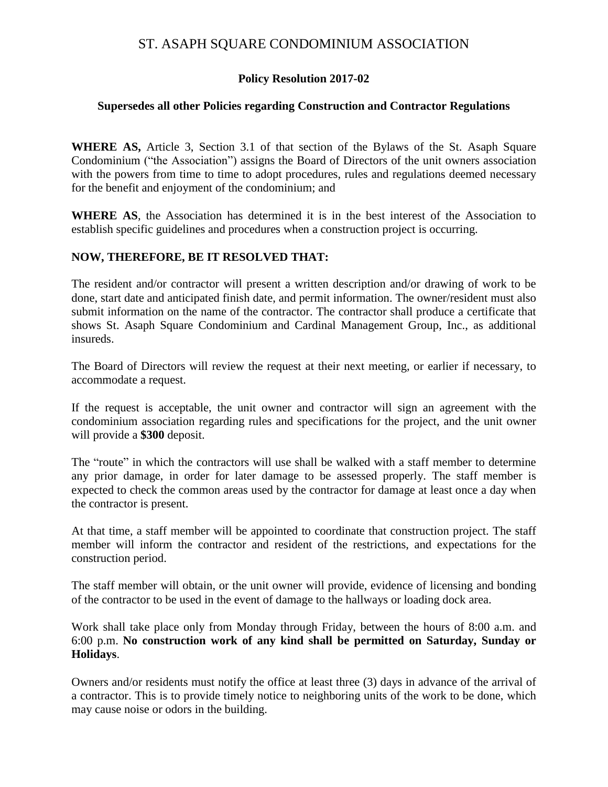## ST. ASAPH SQUARE CONDOMINIUM ASSOCIATION

### **Policy Resolution 2017-02**

#### **Supersedes all other Policies regarding Construction and Contractor Regulations**

**WHERE AS,** Article 3, Section 3.1 of that section of the Bylaws of the St. Asaph Square Condominium ("the Association") assigns the Board of Directors of the unit owners association with the powers from time to time to adopt procedures, rules and regulations deemed necessary for the benefit and enjoyment of the condominium; and

**WHERE AS**, the Association has determined it is in the best interest of the Association to establish specific guidelines and procedures when a construction project is occurring.

#### **NOW, THEREFORE, BE IT RESOLVED THAT:**

The resident and/or contractor will present a written description and/or drawing of work to be done, start date and anticipated finish date, and permit information. The owner/resident must also submit information on the name of the contractor. The contractor shall produce a certificate that shows St. Asaph Square Condominium and Cardinal Management Group, Inc., as additional insureds.

The Board of Directors will review the request at their next meeting, or earlier if necessary, to accommodate a request.

If the request is acceptable, the unit owner and contractor will sign an agreement with the condominium association regarding rules and specifications for the project, and the unit owner will provide a **\$300** deposit.

The "route" in which the contractors will use shall be walked with a staff member to determine any prior damage, in order for later damage to be assessed properly. The staff member is expected to check the common areas used by the contractor for damage at least once a day when the contractor is present.

At that time, a staff member will be appointed to coordinate that construction project. The staff member will inform the contractor and resident of the restrictions, and expectations for the construction period.

The staff member will obtain, or the unit owner will provide, evidence of licensing and bonding of the contractor to be used in the event of damage to the hallways or loading dock area.

Work shall take place only from Monday through Friday, between the hours of 8:00 a.m. and 6:00 p.m. **No construction work of any kind shall be permitted on Saturday, Sunday or Holidays**.

Owners and/or residents must notify the office at least three (3) days in advance of the arrival of a contractor. This is to provide timely notice to neighboring units of the work to be done, which may cause noise or odors in the building.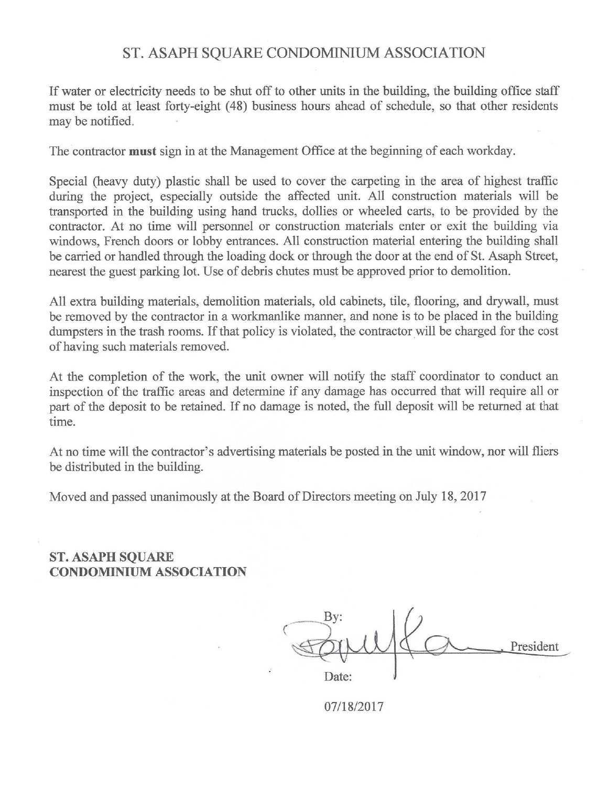# ST. ASAPH SQUARE CONDOMINIUM ASSOCIATION

If water or electricity needs to be shut off to other units in the building, the building office staff must be told at least forty-eight (48) business hours ahead of schedule, so that other residents may be notified.

The contractor must sign in at the Management Office at the beginning of each workday.

Special (heavy duty) plastic shall be used to cover the carpeting in the area of highest traffic during the project, especially outside the affected unit. All construction materials will be transported in the building using hand trucks, dollies or wheeled carts, to be provided by the contractor. At no time will personnel or construction materials enter or exit the building via windows, French doors or lobby entrances. All construction material entering the building shall be carried or handled through the loading dock or through the door at the end of St. Asaph Street, nearest the guest parking lot. Use of debris chutes must be approved prior to demolition.

All extra building materials, demolition materials, old cabinets, tile, flooring, and drywall, must be removed by the contractor in a workmanlike manner, and none is to be placed in the building dumpsters in the trash rooms. If that policy is violated, the contractor will be charged for the cost of having such materials removed.

At the completion of the work, the unit owner will notify the staff coordinator to conduct an inspection of the traffic areas and determine if any damage has occurred that will require all or part of the deposit to be retained. If no damage is noted, the full deposit will be returned at that time.

At no time will the contractor's advertising materials be posted in the unit window, nor will fliers be distributed in the building.

Moved and passed unanimously at the Board of Directors meeting on July 18, 2017

**ST. ASAPH SQUARE CONDOMINIUM ASSOCIATION** 

President Date:

07/18/2017